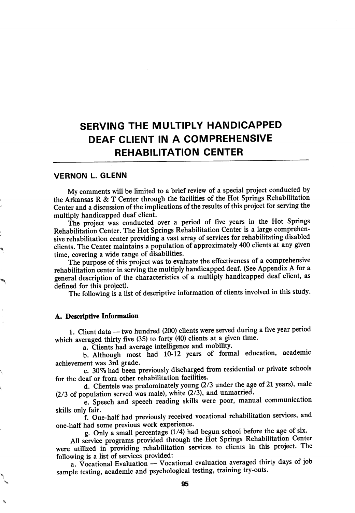## SERVING THE MULTIPLY HANDICAPPED DEAF CLIENT IN A COMPREHENSIVE REHABILITATION CENTER

## VERNON L. GLENN

My comments will be limited to a brief review of a special project conducted by the Arkansas R & T Center through the facilities of the Hot Springs Rehabilitation Center and a discussion of the implications of the results of this project for serving the multiply handicapped deaf client.

The project was conducted over a period of five years in the Hot Springs Rehabilitation Center. The Hot Springs Rehabilitation Center is a large comprehen sive rehabilitation center providing a vast array of services for rehabilitating disabled clients. The Center maintains a population of approximately 400 clients at any given time, covering a wide range of disabilities.

The purpose of this project was to evaluate the effectiveness of a comprehensive rehabilitation center in serving the multiply handicapped deaf. (See Appendix A for a general description of the characteristics of a multiply handicapped deaf client, as defined for this project).

The following is a list of descriptive information of clients involved in this study.

## A. Descriptive Information

1. Client data — two hundred (200) clients were served during a five year period which averaged thirty five (35) to forty (40) clients at a given time.

a. Clients had average intelligence and mobility.

b. Although most had 10-12 years of formal education, academic achievement was 3rd grade.

c. 30% had been previously discharged from residential or private schools for the deaf or from other rehabilitation facilities.

d. Clientele was predominately young (2/3 under the age of 21 years), male  $(2/3)$  of population served was male), white  $(2/3)$ , and unmarried.

e. Speech and speech reading skills were poor, manual communication skills only fair.

f. One-half had previously received vocational rehabilitation services, and one-half had some previous work experience.

g. Only a small percentage (1/4) had begun school before the age of six.

All service programs provided through the Hot Springs Rehabilitation Center were utilized in providing rehabilitation services to clients in this project. The following is a list of services provided;

a. Vocational Evaluation — Vocational evaluation averaged thirty days of job sample testing, academic and psychological testing, training try-outs.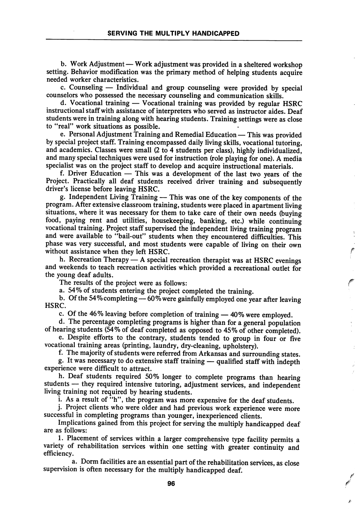b. Work Adjustment — Work adjustment was provided in a sheltered workshop setting. Behavior modification was the primary method of helping students acquire needed worker characteristics.

c. Counseling — Individual and group counseling were provided by special counselors who possessed the necessary counseling and communication skills.

d. Vocational training — Vocational training was provided by regular HSRC instructional staff with assistance of interpreters who served as instructor aides. Deaf students were in training along with hearing students. Training settings were as close to "real" work situations as possible.

e. Personal Adjustment Training and Remedial Education — This was provided by special project staff. Training encompassed daily living skills, vocational tutoring, and academics. Classes were small (2 to 4 students per class), highly individualized, and many special techniques were used for instruction (role playing for one). A media specialist was on the project staff to develop and acquire instructional materials.

f. Driver Education — This was a development of the last two years of the Project. Practically all deaf students received driver training and subsequently driver's license before leaving HSRC.

g. Independent Living Training — This was one of the key components of the program. After extensive classroom training, students were placed in apartment living situations, where it was necessary for them to take care of their own needs (buying food, paying rent and utilities, housekeeping, banking, etc.) while continuing vocational training. Project staff supervised the independent living training program and were available to "bail-out" students when they encountered difficulties. This phase was very successful, and most students were capable of living on their own without assistance when they left HSRC.

h. Recreation Therapy — A special recreation therapist was at HSRC evenings and weekends to teach recreation activities which provided a recreational outlet for the young deaf adults.

The results of the project were as follows:

a. 54% of students entering the project completed the training.

b. Of the 54%completing—60% were gainfully employed one year after leaving HSRC.

c. Of the 46% leaving before completion of training — 40% were employed.

d. The percentage completing programs is higher than for a general population of hearing students (54% of deaf completed as opposed to 45% of other completed).

e. Despite efforts to the contrary, students tended to group in four or five vocational training areas (printing, laundry, dry-cleaning, upholstery).

f. The majority of students were referred from Arkansas and surrounding states.

g. It was necessary to do extensive staff training — qualified staff with indepth experience were difficult to attract.

h. Deaf students required 50% longer to complete programs than hearing students — they required intensive tutoring, adjustment services, and independent living training not required by hearing students.

i. As a result of "h", the program was more expensive for the deaf students.

j. Project clients who were older and had previous work experience were more successful in completing programs than younger, inexperienced clients.

Implications gained from this project for serving the multiply handicapped deaf are as follows:

1. Placement of services within a larger comprehensive type facility permits a variety of rehabilitation services within one setting with greater continuity and efficiency.

a. Dorm facilities are an essential part of the rehabilitation services, as close supervision is often necessary for the multiply handicapped deaf.